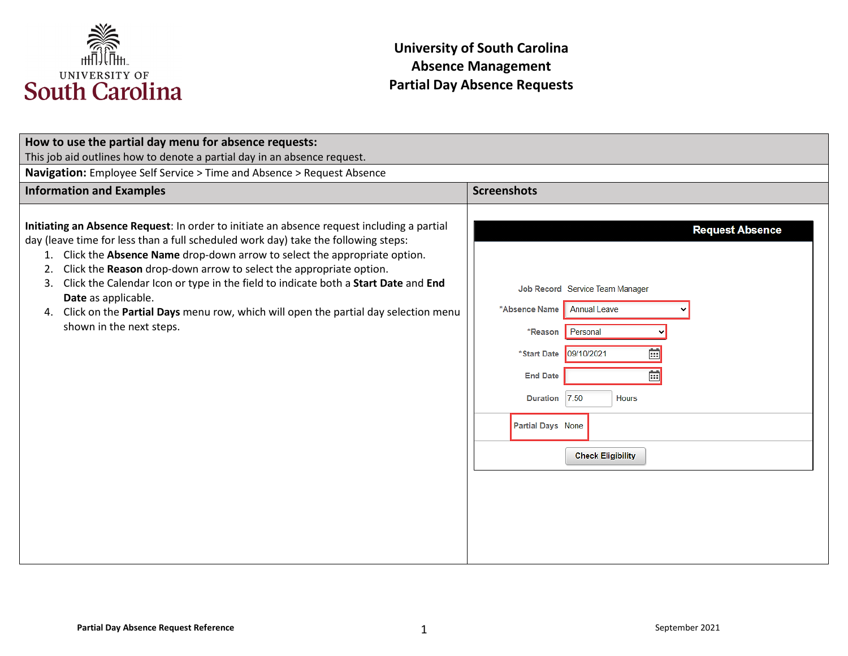

| How to use the partial day menu for absence requests:                                                                                                                                                                                                                                                                                                                                                                                                                                                                                                                                     |                                                                                                                                                                                                                                                                                |  |
|-------------------------------------------------------------------------------------------------------------------------------------------------------------------------------------------------------------------------------------------------------------------------------------------------------------------------------------------------------------------------------------------------------------------------------------------------------------------------------------------------------------------------------------------------------------------------------------------|--------------------------------------------------------------------------------------------------------------------------------------------------------------------------------------------------------------------------------------------------------------------------------|--|
| This job aid outlines how to denote a partial day in an absence request.                                                                                                                                                                                                                                                                                                                                                                                                                                                                                                                  |                                                                                                                                                                                                                                                                                |  |
| Navigation: Employee Self Service > Time and Absence > Request Absence                                                                                                                                                                                                                                                                                                                                                                                                                                                                                                                    |                                                                                                                                                                                                                                                                                |  |
| <b>Information and Examples</b>                                                                                                                                                                                                                                                                                                                                                                                                                                                                                                                                                           | <b>Screenshots</b>                                                                                                                                                                                                                                                             |  |
| Initiating an Absence Request: In order to initiate an absence request including a partial<br>day (leave time for less than a full scheduled work day) take the following steps:<br>Click the Absence Name drop-down arrow to select the appropriate option.<br>1.<br>Click the Reason drop-down arrow to select the appropriate option.<br>2.<br>Click the Calendar Icon or type in the field to indicate both a Start Date and End<br>3.<br>Date as applicable.<br>Click on the Partial Days menu row, which will open the partial day selection menu<br>4.<br>shown in the next steps. | <b>Request Absence</b><br>Job Record Service Team Manager<br>*Absence Name<br><b>Annual Leave</b><br>Personal<br>*Reason<br>茴<br>09/10/2021<br>*Start Date<br>崗<br><b>End Date</b><br>7.50<br><b>Duration</b><br><b>Hours</b><br>Partial Days None<br><b>Check Eligibility</b> |  |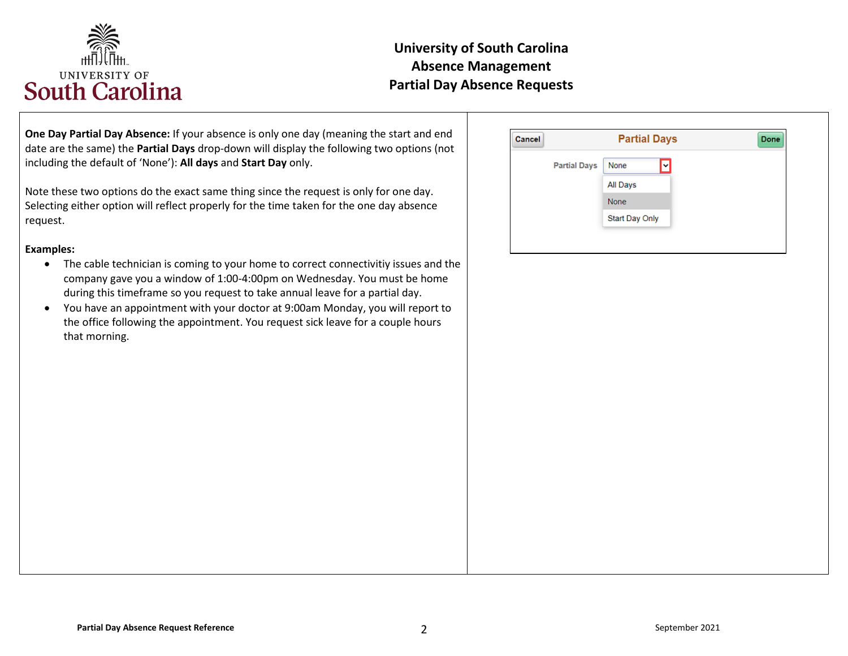

**One Day Partial Day Absence:** If your absence is only one day (meaning the start and end date are the same) the **Partial Days** drop-down will display the following two options (not including the default of 'None'): **All days** and **Start Day** only.

Note these two options do the exact same thing since the request is only for one day. Selecting either option will reflect properly for the time taken for the one day absence request.

#### **Examples:**

- The cable technician is coming to your home to correct connectivitiy issues and the company gave you a window of 1:00-4:00pm on Wednesday. You must be home during this timeframe so you request to take annual leave for a partial day.
- You have an appointment with your doctor at 9:00am Monday, you will report to the office following the appointment. You request sick leave for a couple hours that morning.

| Cancel |                     | <b>Partial Days</b> |  |
|--------|---------------------|---------------------|--|
|        | <b>Partial Days</b> | M<br>None           |  |
|        |                     | All Days            |  |
|        |                     | None                |  |
|        |                     | Start Day Only      |  |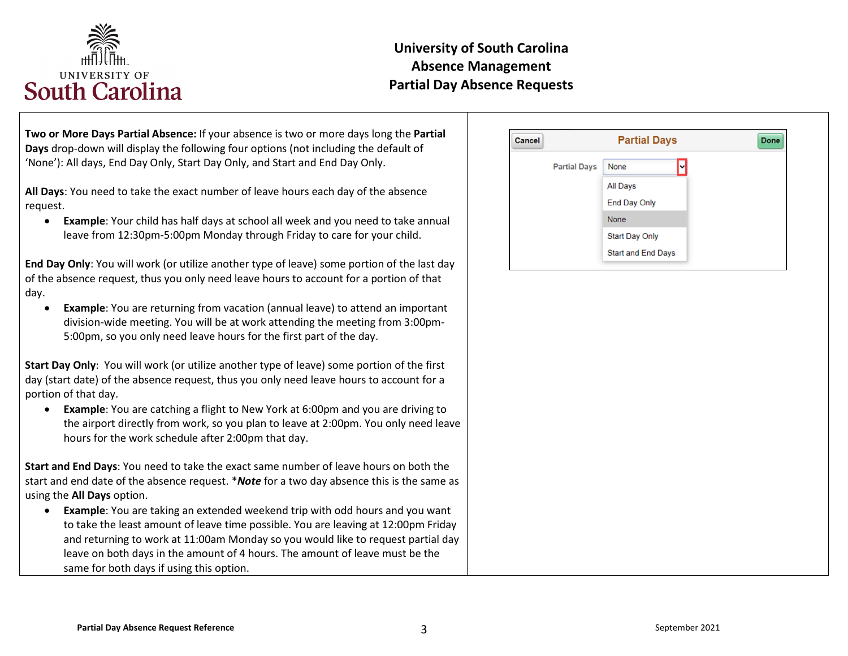

**Two or More Days Partial Absence:** If your absence is two or more days long the **Partial Days** drop-down will display the following four options (not including the default of 'None'): All days, End Day Only, Start Day Only, and Start and End Day Only.

**All Days**: You need to take the exact number of leave hours each day of the absence request.

• **Example**: Your child has half days at school all week and you need to take annual leave from 12:30pm-5:00pm Monday through Friday to care for your child.

**End Day Only**: You will work (or utilize another type of leave) some portion of the last day of the absence request, thus you only need leave hours to account for a portion of that day.

**Example:** You are returning from vacation (annual leave) to attend an important division-wide meeting. You will be at work attending the meeting from 3:00pm-5:00pm, so you only need leave hours for the first part of the day.

**Start Day Only**: You will work (or utilize another type of leave) some portion of the first day (start date) of the absence request, thus you only need leave hours to account for a portion of that day.

• **Example**: You are catching a flight to New York at 6:00pm and you are driving to the airport directly from work, so you plan to leave at 2:00pm. You only need leave hours for the work schedule after 2:00pm that day.

**Start and End Days**: You need to take the exact same number of leave hours on both the start and end date of the absence request. \**Note* for a two day absence this is the same as using the **All Days** option.

• **Example**: You are taking an extended weekend trip with odd hours and you want to take the least amount of leave time possible. You are leaving at 12:00pm Friday and returning to work at 11:00am Monday so you would like to request partial day leave on both days in the amount of 4 hours. The amount of leave must be the same for both days if using this option.